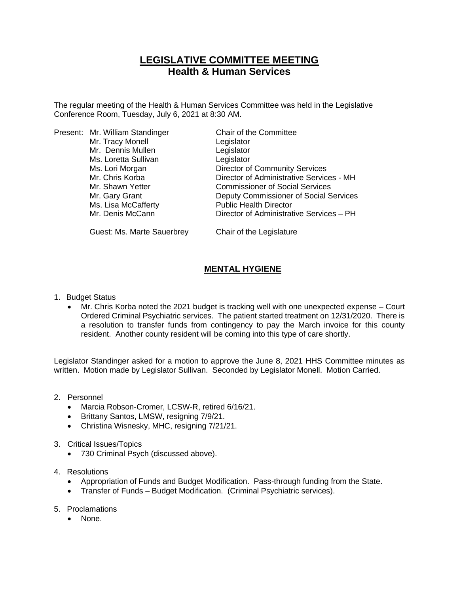# **LEGISLATIVE COMMITTEE MEETING Health & Human Services**

The regular meeting of the Health & Human Services Committee was held in the Legislative Conference Room, Tuesday, July 6, 2021 at 8:30 AM.

|  | Present: Mr. William Standinger | Chair of the Committee                   |
|--|---------------------------------|------------------------------------------|
|  | Mr. Tracy Monell                | Legislator                               |
|  | Mr. Dennis Mullen               | Legislator                               |
|  | Ms. Loretta Sullivan            | Legislator                               |
|  | Ms. Lori Morgan                 | <b>Director of Community Services</b>    |
|  | Mr. Chris Korba                 | Director of Administrative Services - MH |
|  | Mr. Shawn Yetter                | <b>Commissioner of Social Services</b>   |
|  | Mr. Gary Grant                  | Deputy Commissioner of Social Services   |
|  | Ms. Lisa McCafferty             | <b>Public Health Director</b>            |
|  | Mr. Denis McCann                | Director of Administrative Services - PH |
|  | Guest: Ms. Marte Sauerbrey      | Chair of the Legislature                 |

## **MENTAL HYGIENE**

- 1. Budget Status
	- Mr. Chris Korba noted the 2021 budget is tracking well with one unexpected expense Court Ordered Criminal Psychiatric services. The patient started treatment on 12/31/2020. There is a resolution to transfer funds from contingency to pay the March invoice for this county resident. Another county resident will be coming into this type of care shortly.

Legislator Standinger asked for a motion to approve the June 8, 2021 HHS Committee minutes as written. Motion made by Legislator Sullivan. Seconded by Legislator Monell. Motion Carried.

- 2. Personnel
	- Marcia Robson-Cromer, LCSW-R, retired 6/16/21.
	- Brittany Santos, LMSW, resigning 7/9/21.
	- Christina Wisnesky, MHC, resigning 7/21/21.
- 3. Critical Issues/Topics
	- 730 Criminal Psych (discussed above).
- 4. Resolutions
	- Appropriation of Funds and Budget Modification. Pass-through funding from the State.
	- Transfer of Funds Budget Modification. (Criminal Psychiatric services).
- 5. Proclamations
	- None.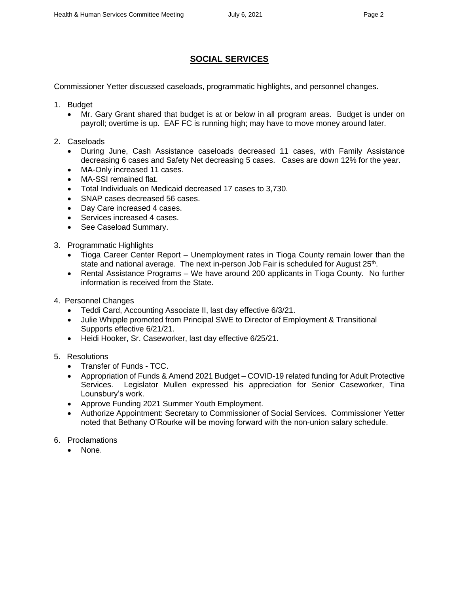### **SOCIAL SERVICES**

Commissioner Yetter discussed caseloads, programmatic highlights, and personnel changes.

- 1. Budget
	- Mr. Gary Grant shared that budget is at or below in all program areas. Budget is under on payroll; overtime is up. EAF FC is running high; may have to move money around later.
- 2. Caseloads
	- During June, Cash Assistance caseloads decreased 11 cases, with Family Assistance decreasing 6 cases and Safety Net decreasing 5 cases. Cases are down 12% for the year.
	- MA-Only increased 11 cases.
	- MA-SSI remained flat.
	- Total Individuals on Medicaid decreased 17 cases to 3,730.
	- SNAP cases decreased 56 cases.
	- Day Care increased 4 cases.
	- Services increased 4 cases.
	- See Caseload Summary.
- 3. Programmatic Highlights
	- Tioga Career Center Report Unemployment rates in Tioga County remain lower than the state and national average. The next in-person Job Fair is scheduled for August  $25<sup>th</sup>$ .
	- Rental Assistance Programs We have around 200 applicants in Tioga County. No further information is received from the State.
- 4. Personnel Changes
	- Teddi Card, Accounting Associate II, last day effective 6/3/21.
	- Julie Whipple promoted from Principal SWE to Director of Employment & Transitional Supports effective 6/21/21.
	- Heidi Hooker, Sr. Caseworker, last day effective 6/25/21.
- 5. Resolutions
	- Transfer of Funds TCC.
	- Appropriation of Funds & Amend 2021 Budget COVID-19 related funding for Adult Protective Services. Legislator Mullen expressed his appreciation for Senior Caseworker, Tina Lounsbury's work.
	- Approve Funding 2021 Summer Youth Employment.
	- Authorize Appointment: Secretary to Commissioner of Social Services. Commissioner Yetter noted that Bethany O'Rourke will be moving forward with the non-union salary schedule.
- 6. Proclamations
	- None.